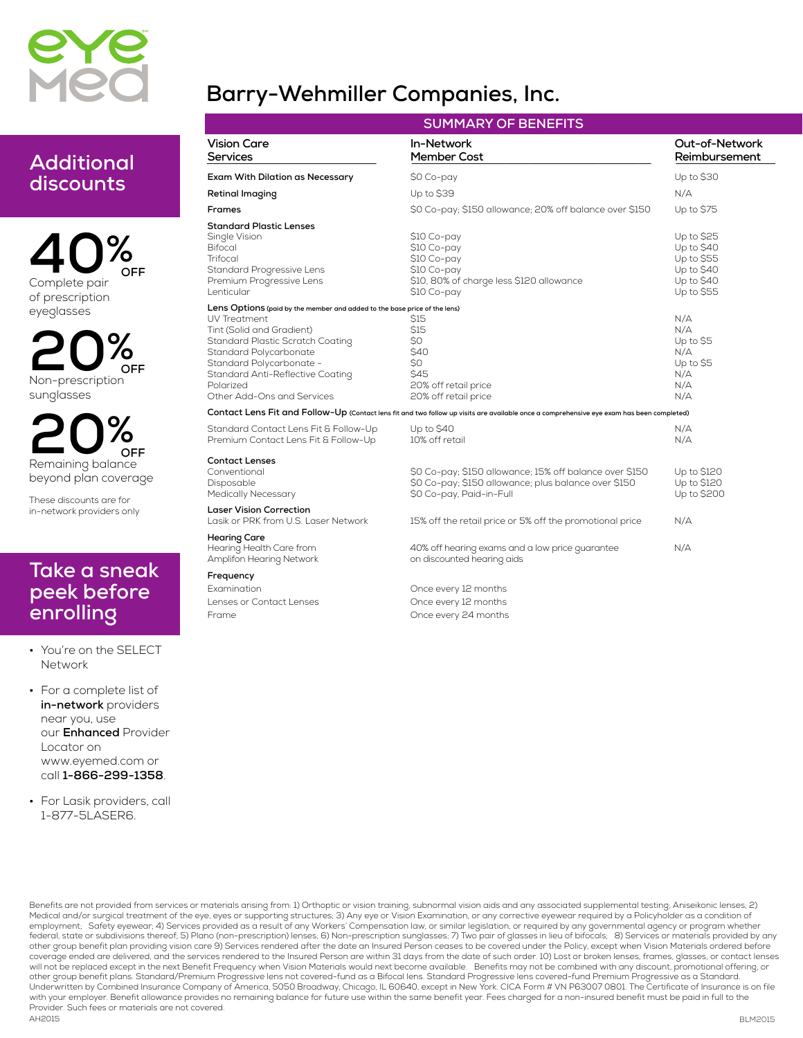

### **Additional discounts**

**40% Complete pair of prescription eyeglasses OFF**

**20% Non-prescription sunglasses OFF**

**20% Remaining balance beyond plan coverage OFF**

**These discounts are for in-network providers only**

#### **Take a sneak peek before enrolling**

- **• You're on the SELECT Network**
- **• For a complete list of in-network providers near you, use our Enhanced Provider Locator on www.eyemed.com or call 1-866-299-1358.**
- **• For Lasik providers, call 1-877-5LASER6.**

## **Barry-Wehmiller Companies, Inc.**

| <b>SUMMARY OF BENEFITS</b>                                                                                                                                                                                                                                                                      |                                                                                                                                             |                                                                                     |  |  |
|-------------------------------------------------------------------------------------------------------------------------------------------------------------------------------------------------------------------------------------------------------------------------------------------------|---------------------------------------------------------------------------------------------------------------------------------------------|-------------------------------------------------------------------------------------|--|--|
| <b>Vision Care</b><br>Services                                                                                                                                                                                                                                                                  | In-Network<br><b>Member Cost</b>                                                                                                            | Out-of-Network<br>Reimbursement                                                     |  |  |
| Exam With Dilation as Necessary                                                                                                                                                                                                                                                                 | \$0 Co-pay                                                                                                                                  | Up to \$30                                                                          |  |  |
| Retinal Imaging                                                                                                                                                                                                                                                                                 | Up to \$39                                                                                                                                  | N/A                                                                                 |  |  |
| <b>Frames</b>                                                                                                                                                                                                                                                                                   | \$0 Co-pay; \$150 allowance; 20% off balance over \$150                                                                                     | Up to \$75                                                                          |  |  |
| <b>Standard Plastic Lenses</b><br>Single Vision<br><b>Bifocal</b><br>Trifocal<br>Standard Progressive Lens<br>Premium Progressive Lens<br>Lenticular                                                                                                                                            | \$10 Co-pay<br>\$10 Co-pay<br>\$10 Co-pay<br>\$10 Co-pay<br>\$10, 80% of charge less \$120 allowance<br>\$10 Co-pay                         | Up to \$25<br>Up to $$40$<br>Up to \$55<br>Up to $$40$<br>Up to $$40$<br>Up to \$55 |  |  |
| Lens Options (paid by the member and added to the base price of the lens)<br>UV Treatment<br>Tint (Solid and Gradient)<br>Standard Plastic Scratch Coating<br>Standard Polycarbonate<br>Standard Polycarbonate -<br>Standard Anti-Reflective Coating<br>Polarized<br>Other Add-Ons and Services | S15<br>\$15<br>\$0<br>\$40<br>\$0<br><b>\$45</b><br>20% off retail price<br>20% off retail price                                            | N/A<br>N/A<br>Up to \$5<br>N/A<br>Up to S5<br>N/A<br>N/A<br>N/A                     |  |  |
|                                                                                                                                                                                                                                                                                                 | Contact Lens Fit and Follow-Up (Contact lens fit and two follow up visits are available once a comprehensive eye exam has been completed)   |                                                                                     |  |  |
| Standard Contact Lens Fit & Follow-Up<br>Premium Contact Lens Fit & Follow-Up                                                                                                                                                                                                                   | Up to \$40<br>10% off retail                                                                                                                | N/A<br>N/A                                                                          |  |  |
| <b>Contact Lenses</b><br>Conventional<br>Disposable<br><b>Medically Necessary</b>                                                                                                                                                                                                               | \$0 Co-pay; \$150 allowance; 15% off balance over \$150<br>\$0 Co-pay; \$150 allowance; plus balance over \$150<br>\$0 Co-pay, Paid-in-Full | Up to \$120<br>Up to \$120<br>Up to \$200                                           |  |  |
| <b>Laser Vision Correction</b><br>Lasik or PRK from U.S. Laser Network                                                                                                                                                                                                                          | 15% off the retail price or 5% off the promotional price                                                                                    | N/A                                                                                 |  |  |
| Hearing Care<br>Hearing Health Care from<br>Amplifon Hearing Network                                                                                                                                                                                                                            | 40% off hearing exams and a low price guarantee<br>on discounted hearing aids                                                               | N/A                                                                                 |  |  |
| Frequency                                                                                                                                                                                                                                                                                       |                                                                                                                                             |                                                                                     |  |  |
| Examination                                                                                                                                                                                                                                                                                     | Once every 12 months                                                                                                                        |                                                                                     |  |  |
| Lenses or Contact Lenses                                                                                                                                                                                                                                                                        | Once every 12 months                                                                                                                        |                                                                                     |  |  |
| Frame                                                                                                                                                                                                                                                                                           | Once every 24 months                                                                                                                        |                                                                                     |  |  |

BLM2015 **AH2015** Benefits are not provided from services or materials arising from: 1) Orthoptic or vision training, subnormal vision aids and any associated supplemental testing; Aniseikonic lenses; 2) Medical and/or surgical treatment of the eye, eyes or supporting structures; 3) Any eye or Vision Examination, or any corrective eyewear required by a Policyholder as a condition of employment; Safety eyewear; 4) Services provided as a result of any Workers' Compensation law, or similar legislation, or required by any governmental agency or program whether federal, state or subdivisions thereof; 5) Plano (non-prescription) lenses; 6) Non-prescription sunglasses; 7) Two pair of glasses in lieu of bifocals; 8) Services or materials provided by any other group benefit plan providing vision care 9) Services rendered after the date an Insured Person ceases to be covered under the Policy, except when Vision Materials ordered before coverage ended are delivered, and the services rendered to the Insured Person are within 31 days from the date of such order. 10) Lost or broken lenses, frames, glasses, or contact lenses<br>will not be replaced except in the other group benefit plans. Standard/Premium Progressive lens not covered-fund as a Bifocal lens. Standard Progressive lens covered-fund Premium Progressive as a Standard.<br>Underwritten by Combined Insurance Company of Ameri with your employer. Benefit allowance provides no remaining balance for future use within the same benefit year. Fees charged for a non-insured benefit must be paid in full to the **Provider. Such fees or materials are not covered.**